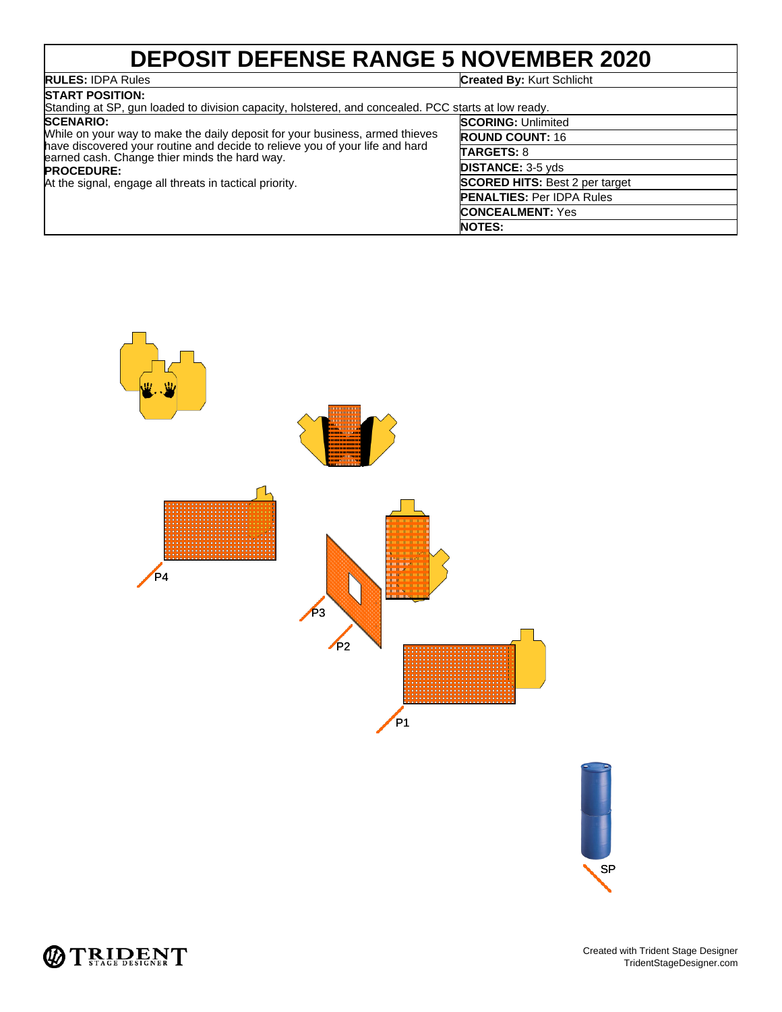## **DEPOSIT DEFENSE RANGE 5 NOVEMBER 2020**

### **RULES:** IDPA Rules **Created By:** Kurt Schlicht

**START POSITION:** Standing at SP, gun loaded to division capacity, holstered, and concealed. PCC starts at low ready. **SCENARIO:** While on your way to make the daily deposit for your business, armed thieves have discovered your routine and decide to relieve you of your life and hard earned cash. Change thier minds the hard way. **PROCEDURE:** At the signal, engage all threats in tactical priority. **SCORING:** Unlimited **ROUND COUNT:** 16 **TARGETS:** 8 **DISTANCE:** 3-5 yds **SCORED HITS:** Best 2 per target **PENALTIES:** Per IDPA Rules **CONCEALMENT:** Yes **NOTES:**





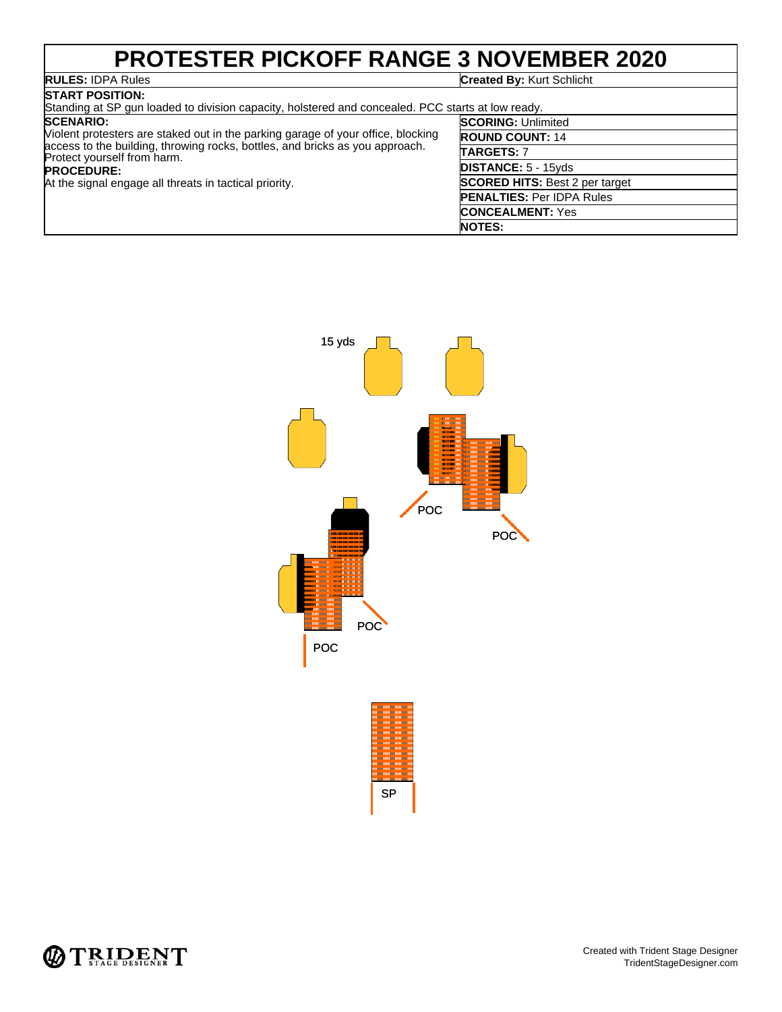### **PROTESTER PICKOFF RANGE 3 NOVEMBER 2020**<br>RULES: IDPA Rules<br>Created By: Kurt Schlicht **Created By: Kurt Schlicht**

| <b>START POSITION:</b>                                                                                                                                                                                                                                                                             |                                       |  |
|----------------------------------------------------------------------------------------------------------------------------------------------------------------------------------------------------------------------------------------------------------------------------------------------------|---------------------------------------|--|
| Standing at SP gun loaded to division capacity, holstered and concealed. PCC starts at low ready.                                                                                                                                                                                                  |                                       |  |
| <b>SCENARIO:</b><br>Violent protesters are staked out in the parking garage of your office, blocking<br>access to the building, throwing rocks, bottles, and bricks as you approach.<br>Protect yourself from harm.<br><b>PROCEDURE:</b><br>At the signal engage all threats in tactical priority. | <b>SCORING: Unlimited</b>             |  |
|                                                                                                                                                                                                                                                                                                    | <b>ROUND COUNT: 14</b>                |  |
|                                                                                                                                                                                                                                                                                                    | <b>TARGETS: 7</b>                     |  |
|                                                                                                                                                                                                                                                                                                    | <b>DISTANCE: 5 - 15yds</b>            |  |
|                                                                                                                                                                                                                                                                                                    | <b>SCORED HITS: Best 2 per target</b> |  |
|                                                                                                                                                                                                                                                                                                    | <b>PENALTIES: Per IDPA Rules</b>      |  |
|                                                                                                                                                                                                                                                                                                    | <b>CONCEALMENT: Yes</b>               |  |
|                                                                                                                                                                                                                                                                                                    | <b>NOTES:</b>                         |  |



SP

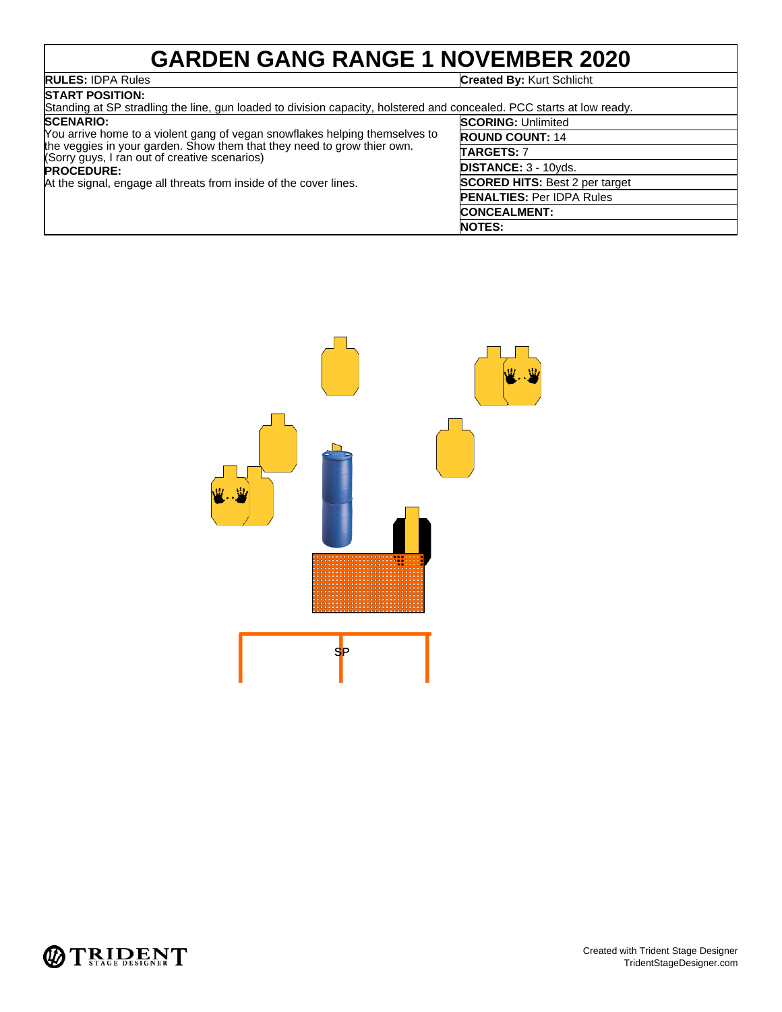# **GARDEN GANG RANGE 1 NOVEMBER 2020**

# **RULES: IDPA Rules**<br>START POSITION:

**Created By: Kurt Schlicht** 

| DIARI PUSHUN:                                                                                                                                                                                                                                                                                                         |                                       |  |
|-----------------------------------------------------------------------------------------------------------------------------------------------------------------------------------------------------------------------------------------------------------------------------------------------------------------------|---------------------------------------|--|
| Standing at SP stradling the line, gun loaded to division capacity, holstered and concealed. PCC starts at low ready.                                                                                                                                                                                                 |                                       |  |
| <b>SCENARIO:</b><br>You arrive home to a violent gang of vegan snowflakes helping themselves to<br>the veggies in your garden. Show them that they need to grow thier own.<br>(Sorry guys, I ran out of creative scenarios)<br><b>PROCEDURE:</b><br>At the signal, engage all threats from inside of the cover lines. | <b>SCORING: Unlimited</b>             |  |
|                                                                                                                                                                                                                                                                                                                       | <b>ROUND COUNT: 14</b>                |  |
|                                                                                                                                                                                                                                                                                                                       | <b>TARGETS: 7</b>                     |  |
|                                                                                                                                                                                                                                                                                                                       | <b>DISTANCE: 3 - 10yds.</b>           |  |
|                                                                                                                                                                                                                                                                                                                       | <b>SCORED HITS: Best 2 per target</b> |  |
|                                                                                                                                                                                                                                                                                                                       | <b>PENALTIES: Per IDPA Rules</b>      |  |
|                                                                                                                                                                                                                                                                                                                       | <b>CONCEALMENT:</b>                   |  |
|                                                                                                                                                                                                                                                                                                                       | <b>NOTES:</b>                         |  |



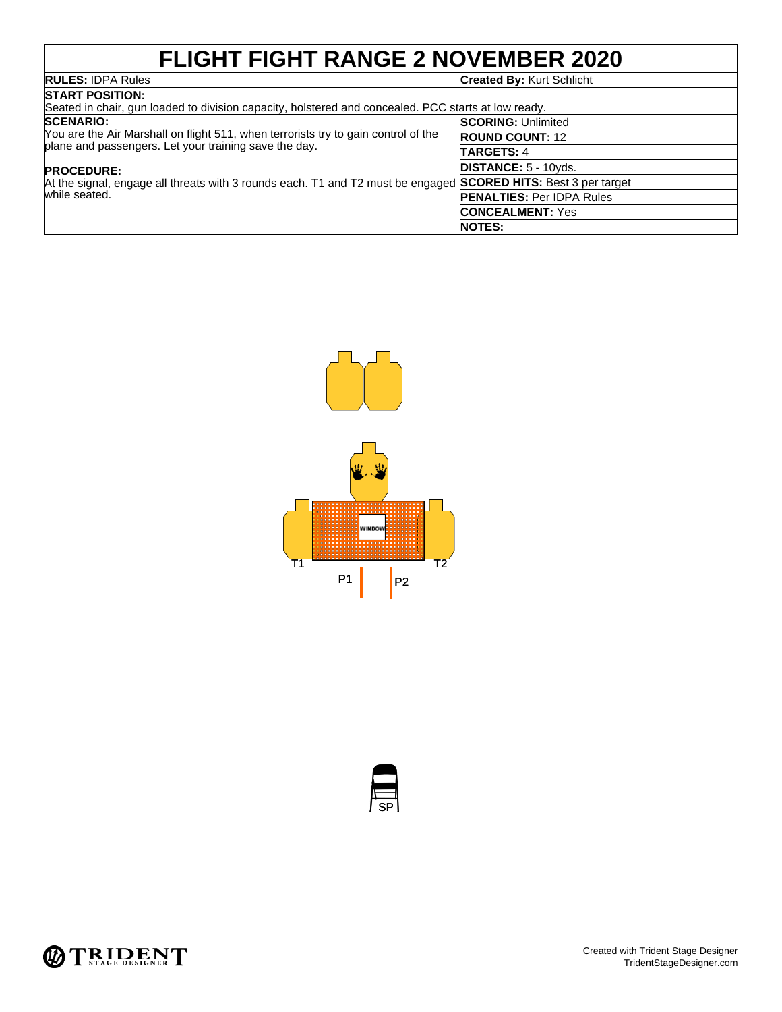# **FLIGHT FIGHT RANGE 2 NOVEMBER 2020**

#### **RULES:** IDPA Rules **Created By:** Kurt Schlicht

| <b>ISTART POSITION:</b>                                                                                                                                                                                                                                                                                                 |                                  |  |
|-------------------------------------------------------------------------------------------------------------------------------------------------------------------------------------------------------------------------------------------------------------------------------------------------------------------------|----------------------------------|--|
| Seated in chair, gun loaded to division capacity, holstered and concealed. PCC starts at low ready.                                                                                                                                                                                                                     |                                  |  |
| <b>SCENARIO:</b><br>You are the Air Marshall on flight 511, when terrorists try to gain control of the<br>plane and passengers. Let your training save the day.<br><b>PROCEDURE:</b><br>At the signal, engage all threats with 3 rounds each. T1 and T2 must be engaged SCORED HITS: Best 3 per target<br>while seated. | <b>SCORING: Unlimited</b>        |  |
|                                                                                                                                                                                                                                                                                                                         | <b>ROUND COUNT: 12</b>           |  |
|                                                                                                                                                                                                                                                                                                                         | <b>TARGETS: 4</b>                |  |
|                                                                                                                                                                                                                                                                                                                         | <b>DISTANCE: 5 - 10yds.</b>      |  |
|                                                                                                                                                                                                                                                                                                                         |                                  |  |
|                                                                                                                                                                                                                                                                                                                         | <b>PENALTIES: Per IDPA Rules</b> |  |
|                                                                                                                                                                                                                                                                                                                         | <b>CONCEALMENT: Yes</b>          |  |
|                                                                                                                                                                                                                                                                                                                         | <b>NOTES:</b>                    |  |





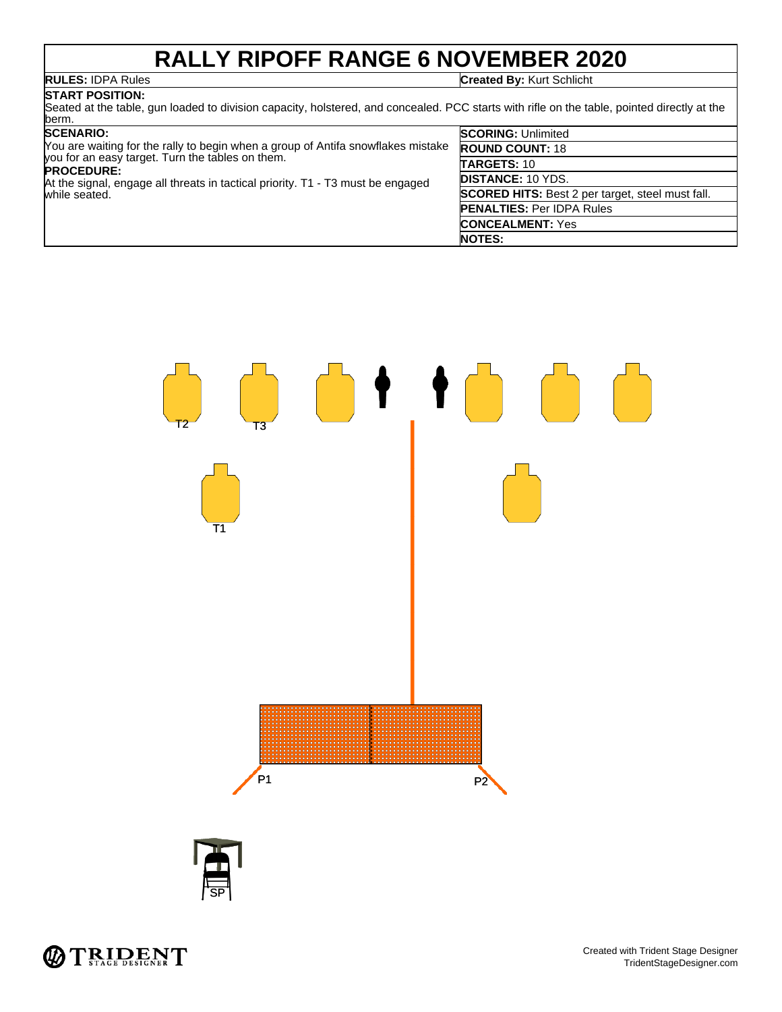# **RALLY RIPOFF RANGE 6 NOVEMBER 2020**

**RULES:** IDPA Rules **Created By:** Kurt Schlicht

#### **START POSITION:** Seated at the table, gun loaded to division capacity, holstered, and concealed. PCC starts with rifle on the table, pointed directly at the berm.

| <b>SCENARIO:</b> |  |
|------------------|--|
|------------------|--|

| <b>SCENARIO:</b><br>You are waiting for the rally to begin when a group of Antifa snowflakes mistake | <b>SCORING: Unlimited</b>                               |
|------------------------------------------------------------------------------------------------------|---------------------------------------------------------|
|                                                                                                      | <b>ROUND COUNT: 18</b>                                  |
| you for an easy target. Turn the tables on them.<br><b>PROCEDURE:</b>                                | <b>TARGETS: 10</b>                                      |
| At the signal, engage all threats in tactical priority. T1 - T3 must be engaged<br>while seated.     | <b>IDISTANCE: 10 YDS.</b>                               |
|                                                                                                      | <b>SCORED HITS:</b> Best 2 per target, steel must fall. |
|                                                                                                      | <b>PENALTIES: Per IDPA Rules</b>                        |
|                                                                                                      | <b>CONCEALMENT:</b> Yes                                 |
|                                                                                                      | <b>NOTES:</b>                                           |





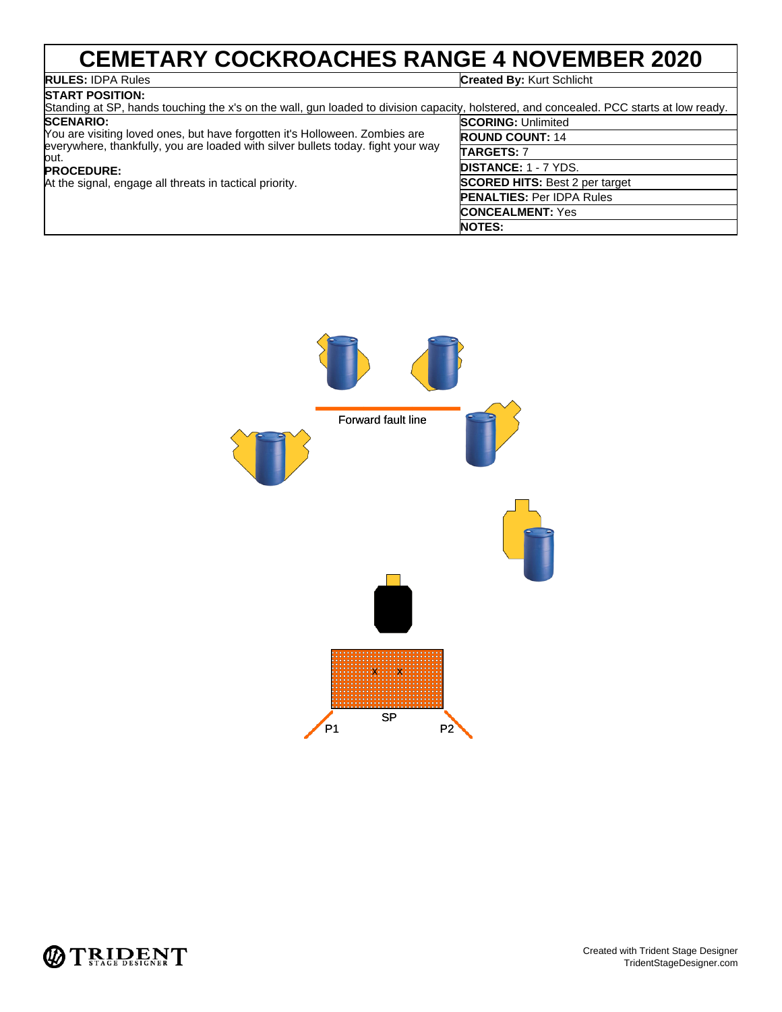# CEMETARY COCKROACHES RANGE 4 NOVEMBER 2020

#### **START POSITION:**

**Created By: Kurt Schlicht** 

**NOTES:**

| Standing at SP, hands touching the x's on the wall, gun loaded to division capacity, holstered, and concealed. PCC starts at low ready.                                                                                                                 |                                       |  |
|---------------------------------------------------------------------------------------------------------------------------------------------------------------------------------------------------------------------------------------------------------|---------------------------------------|--|
| <b>SCENARIO:</b>                                                                                                                                                                                                                                        | <b>SCORING: Unlimited</b>             |  |
| You are visiting loved ones, but have forgotten it's Holloween. Zombies are<br>everywhere, thankfully, you are loaded with silver bullets today. fight your way<br>out.<br><b>PROCEDURE:</b><br>At the signal, engage all threats in tactical priority. | <b>ROUND COUNT: 14</b>                |  |
|                                                                                                                                                                                                                                                         | <b>TARGETS: 7</b>                     |  |
|                                                                                                                                                                                                                                                         | <b>DISTANCE: 1 - 7 YDS.</b>           |  |
|                                                                                                                                                                                                                                                         | <b>SCORED HITS: Best 2 per target</b> |  |
|                                                                                                                                                                                                                                                         | <b>PENALTIES: Per IDPA Rules</b>      |  |
|                                                                                                                                                                                                                                                         | <b>CONCEALMENT: Yes</b>               |  |